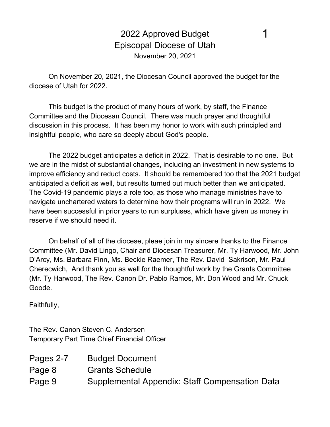2022 Approved Budget Episcopal Diocese of Utah November 20, 2021

1

On November 20, 2021, the Diocesan Council approved the budget for the diocese of Utah for 2022.

This budget is the product of many hours of work, by staff, the Finance Committee and the Diocesan Council. There was much prayer and thoughtful discussion in this process. It has been my honor to work with such principled and insightful people, who care so deeply about God's people.

The 2022 budget anticipates a deficit in 2022. That is desirable to no one. But we are in the midst of substantial changes, including an investment in new systems to improve efficiency and reduct costs. It should be remembered too that the 2021 budget anticipated a deficit as well, but results turned out much better than we anticipated. The Covid-19 pandemic plays a role too, as those who manage ministries have to navigate unchartered waters to determine how their programs will run in 2022. We have been successful in prior years to run surpluses, which have given us money in reserve if we should need it.

On behalf of all of the diocese, pleae join in my sincere thanks to the Finance Committee (Mr. David Lingo, Chair and Diocesan Treasurer, Mr. Ty Harwood, Mr. John D'Arcy, Ms. Barbara Finn, Ms. Beckie Raemer, The Rev. David Sakrison, Mr. Paul Cherecwich, And thank you as well for the thoughtful work by the Grants Committee (Mr. Ty Harwood, The Rev. Canon Dr. Pablo Ramos, Mr. Don Wood and Mr. Chuck Goode.

Faithfully,

The Rev. Canon Steven C. Andersen Temporary Part Time Chief Financial Officer

| Pages 2-7 | <b>Budget Document</b>                         |
|-----------|------------------------------------------------|
| Page 8    | <b>Grants Schedule</b>                         |
| Page 9    | Supplemental Appendix: Staff Compensation Data |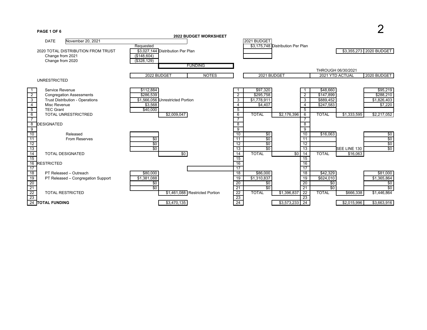

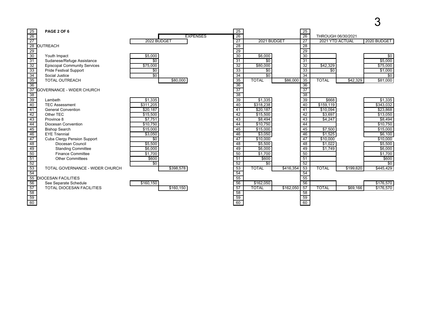| 25              | PAGE 2 OF 6                         |                 |                 | $\overline{25}$ |                 |           | $\overline{25}$ |                    |           |                 |
|-----------------|-------------------------------------|-----------------|-----------------|-----------------|-----------------|-----------|-----------------|--------------------|-----------|-----------------|
| 26              |                                     |                 | <b>EXPENSES</b> | 26              |                 |           | 26              | THROUGH 06/30/2021 |           |                 |
| $\overline{27}$ |                                     | 2022 BUDGET     |                 | $\overline{27}$ | 2021 BUDGET     |           | $\overline{27}$ | 2021 YTD ACTUAL    |           | 2020 BUDGET     |
| 28              | <b>OUTREACH</b>                     |                 |                 | 28              |                 |           | $\overline{28}$ |                    |           |                 |
|                 |                                     |                 |                 | 29              |                 |           | $\overline{29}$ |                    |           |                 |
| $\frac{29}{30}$ | Youth Impact                        | \$5,000         |                 | $\overline{30}$ | \$6,000         |           | 30              |                    |           | \$0             |
| $\overline{31}$ | Sudanese/Refuge Assistance          | $\overline{30}$ |                 | $\overline{31}$ | $\overline{50}$ |           | 31              |                    |           | \$5,000         |
| $\overline{32}$ | <b>Episcopal Community Services</b> | \$75,000        |                 | 32              | \$80,000        |           | $\overline{32}$ | \$42,329           |           | \$75,000        |
| 33              | <b>Pride Festival Support</b>       | $\overline{50}$ |                 | 33              | $\overline{50}$ |           | 33              | \$0                |           | \$1,000         |
| 34              | Social Justice                      | \$0             |                 | 34              | $\overline{50}$ |           | $\overline{34}$ |                    |           | \$0             |
| 35              | <b>TOTAL OUTREACH</b>               | \$80,000        |                 | 35              | <b>TOTAL</b>    | \$86,000  | 35              | <b>TOTAL</b>       | \$42,329  | \$81,000        |
| 36              |                                     |                 |                 | 36              |                 |           | 36              |                    |           |                 |
| 37              | <b>GOVERNANCE - WIDER CHURCH</b>    |                 |                 | $\overline{37}$ |                 |           | $\overline{37}$ |                    |           |                 |
| 38              |                                     |                 |                 | 38              |                 |           | 38              |                    |           |                 |
| $\overline{39}$ | Lambeth                             | \$1,335         |                 | $\overline{39}$ | \$1,335         |           | $\overline{39}$ | \$668              |           | \$1,335         |
| 40              | <b>TEC Assessment</b>               | \$311,205       |                 | 40              | \$318,238       |           | 40              | \$159,119          |           | \$343,032       |
| 41              | <b>General Convention</b>           | \$20,187        |                 | 41              | \$20,187        |           | 41              | \$10,094           |           | \$23,868        |
| 42              | Other TEC                           | \$15,500        |                 | 42              | \$15,500        |           | 42              | \$3,697            |           | \$13,050        |
| 43              | Province 8                          | \$7,751         |                 | 43              | \$8,494         |           | 43              | \$4,247            |           | \$8,494         |
| 44              | Diocesan Convention                 | \$10,750        |                 | 44              | \$10,750        |           | 44              |                    |           | \$10,750        |
| 45              | <b>Bishop Search</b>                | \$15.000        |                 | 45              | \$15,000        |           | 45              | \$7,500            |           | \$15,000        |
| 46              | <b>EYE Triennial</b>                | \$3,050         |                 | 46              | \$3,050         |           | 46              | \$1,525            |           | \$6,100         |
| 47              | Cuba Clergy Pension Support         | $\overline{50}$ |                 | 47              | \$10,000        |           | $\overline{47}$ | \$10,000           |           | \$10,000        |
| $\overline{48}$ | Diocesan Council                    | \$5,500         |                 | 48              | \$5,500         |           | 48              | \$1,022            |           | \$5,500         |
| 49              | <b>Standing Committee</b>           | \$6,000         |                 | 49              | \$6,000         |           | 49              | \$1,749            |           | \$6,000         |
| 50              | <b>Finance Committee</b>            | \$1,700         |                 | 50              | \$1,700         |           | 50              |                    |           | \$1,700         |
| $\overline{51}$ | <b>Other Committees</b>             | \$600           |                 | 51              | \$600           |           | 51              |                    |           | \$600           |
| 52              |                                     | $\overline{50}$ |                 | 52              | $\overline{50}$ |           | $\overline{52}$ |                    |           | $\overline{50}$ |
| 53              | TOTAL GOVERNANCE - WIDER CHURCH     | \$398,578       |                 | 53              | <b>TOTAL</b>    | \$416,354 | 53              | <b>TOTAL</b>       | \$199,620 | \$445,429       |
| 54              |                                     |                 |                 | 54              |                 |           | 54              |                    |           |                 |
| 55              | <b>DIOCESAN FACILITIES</b>          |                 |                 | 55              |                 |           | 55              |                    |           |                 |
| 56              | See Separate Schedule               | \$160,150       |                 | 56              | \$162,050       |           | 56              |                    |           | \$176,570       |
| 57              | <b>TOTAL DIOCESAN FACILITIES</b>    | \$160,150       |                 | 57              | <b>TOTAL</b>    | \$162,050 | $\overline{57}$ | <b>TOTAL</b>       | \$69,166  | \$176,570       |
| 58              |                                     |                 |                 | 58              |                 |           | 58              |                    |           |                 |
| 59              |                                     |                 |                 | 59              |                 |           | 59              |                    |           |                 |
| $\overline{60}$ |                                     |                 |                 | $\overline{60}$ |                 |           | $\overline{60}$ |                    |           |                 |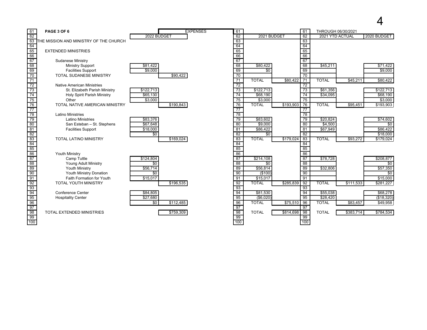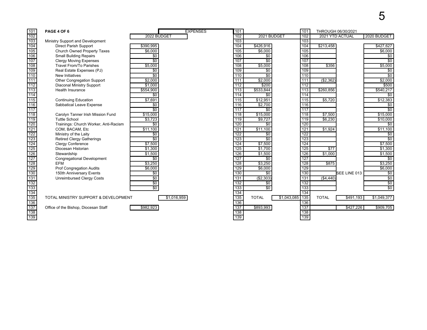| 101<br><b>EXPENSES</b><br>101<br>PAGE 4 OF 6<br>101<br>THROUGH 06/30/2021<br>102<br>2022 BUDGET<br>102<br>2021 BUDGET<br>2021 YTD ACTUAL<br>2020 BUDGET<br>102<br>103<br>103<br>103<br>Ministry Support and Development<br>104<br><b>Direct Parish Support</b><br>104<br>\$426,916<br>\$213,458<br>\$427,627<br>\$390,995<br>104<br>105<br>\$6,000<br>105<br>\$6,000<br>105<br>\$6,000<br>Church Owned Property Taxes<br><b>Small Building Repairs</b><br>\$0<br>106<br>\$0<br>106<br>\$0<br>106<br>107<br>$\overline{50}$<br>\$0<br>107<br>$\overline{30}$<br>107<br><b>Clergy Moving Expenses</b><br>108<br>\$5,000<br>$\overline{108}$<br>\$5,000<br>\$5,000<br><b>Travel From/To Parishes</b><br>108<br>\$356<br>109<br>109<br>Real Estate Expenses (PJ)<br>$\overline{50}$<br>$\overline{50}$<br>109<br>$\overline{50}$<br>110<br>$\overline{50}$<br>$\overline{50}$<br>110<br>\$0<br>New Initiatives<br>110<br>111<br>\$2,000<br>\$2,000<br>111<br>(\$2,362)<br>\$2,000<br>Other Congregation Support<br>111<br>$\overline{112}$<br>Diaconal Ministry Support<br>\$1,000<br>112<br>\$200<br>112<br>\$500<br>$\overline{113}$<br>113<br>\$533,844<br>\$554,900<br>113<br>\$260,856<br>\$540,217<br><b>Health Insurance</b><br>114<br>$\boxed{114}$<br>$\overline{30}$<br>\$0<br>\$0<br>114<br>115<br>115<br>\$12,383<br>\$7,691<br>\$12,951<br>115<br>\$5,720<br><b>Continuing Education</b><br>116<br>\$2,700<br>Sabbatical Leave Expense<br>116<br>$\overline{50}$<br>\$0<br>116<br>$\overline{50}$<br>$\overline{117}$<br>\$0<br>117<br>\$0<br>117<br>118<br>\$15,000<br>118<br>\$15,000<br>\$7,500<br>\$15,000<br>Carolyn Tanner Irish Mission Fund<br>118<br>$\frac{119}{120}$<br>\$3,723<br>\$9,727<br><b>Tuttle School</b><br>$\overline{119}$<br>119<br>\$6,230<br>\$10,000<br>120<br>Trainings: Church Worker, Anti-Racism<br>$\overline{50}$<br>120<br>\$0<br>\$0<br>$\frac{1}{121}$<br>$\overline{$11,100}$<br>121<br>\$11.100<br>$\overline{$11,100}$<br>121<br>\$1,924<br>COM, BACAM, Etc<br>$\overline{122}$<br>122<br>122<br>Ministry of the Laity<br>$\overline{50}$<br>$\overline{50}$<br>$\overline{50}$<br>123<br>$\overline{50}$<br>$\overline{50}$<br>123<br>$\overline{50}$<br>123<br>Retired Clergy Gatherings<br>$\overline{124}$<br>\$7,500<br>124<br>\$7,500<br>124<br>\$7,500<br><b>Clergy Conference</b><br>125<br>Diocesan Historian<br>125<br>\$1,700<br>125<br>$\overline{$77}$<br>\$1,300<br>\$1,300<br>126<br>126<br>\$1,000<br>\$1,500<br>\$1,500<br>126<br>\$1,500<br>Stewardship<br>$\overline{127}$<br>$\overline{127}$<br>127<br>$\overline{50}$<br>$\overline{50}$<br>$\overline{50}$<br>Congregational Development<br>128<br>\$3,250<br><b>EFM</b><br>128<br>\$3,250<br>128<br>\$875<br>\$3,250<br>129<br>129<br>\$6,000<br>129<br>\$6,000<br>Prof Congregation Audits<br>\$6,000<br>130<br>150th Anniversary Events<br>130<br>130<br>SEE LINE 013<br>$\overline{50}$<br>\$0<br>\$0<br>131<br>\$0<br>\$0<br>131<br>$($ \$2,303)<br>131<br><b>Unreimbursed Clergy Costs</b><br>(\$4,440)<br>$\overline{132}$<br>$\overline{50}$<br>$\overline{50}$<br>132<br>132<br>$\overline{50}$<br>133<br>$\overline{50}$<br>$\overline{50}$<br>$\overline{50}$<br>133<br>133<br>134<br>$\overline{134}$<br>$\overline{134}$<br>135<br>135<br>\$1,043,085<br>135<br>\$1,049,377<br>\$1,016,959<br><b>TOTAL</b><br><b>TOTAL</b><br>\$491,193<br>TOTAL MINISTRY SUPPORT & DEVELOPMENT<br>136<br>136<br>136<br>137<br>137<br>\$893,993<br>\$982,923<br>137<br>\$427.226<br>\$909,705<br>Office of the Bishop, Diocesan Staff<br>138<br>138<br>138 |  |  |  |  |  |  |
|--------------------------------------------------------------------------------------------------------------------------------------------------------------------------------------------------------------------------------------------------------------------------------------------------------------------------------------------------------------------------------------------------------------------------------------------------------------------------------------------------------------------------------------------------------------------------------------------------------------------------------------------------------------------------------------------------------------------------------------------------------------------------------------------------------------------------------------------------------------------------------------------------------------------------------------------------------------------------------------------------------------------------------------------------------------------------------------------------------------------------------------------------------------------------------------------------------------------------------------------------------------------------------------------------------------------------------------------------------------------------------------------------------------------------------------------------------------------------------------------------------------------------------------------------------------------------------------------------------------------------------------------------------------------------------------------------------------------------------------------------------------------------------------------------------------------------------------------------------------------------------------------------------------------------------------------------------------------------------------------------------------------------------------------------------------------------------------------------------------------------------------------------------------------------------------------------------------------------------------------------------------------------------------------------------------------------------------------------------------------------------------------------------------------------------------------------------------------------------------------------------------------------------------------------------------------------------------------------------------------------------------------------------------------------------------------------------------------------------------------------------------------------------------------------------------------------------------------------------------------------------------------------------------------------------------------------------------------------------------------------------------------------------------------------------------------------------------------------------------------------------------------------------------------------------------------------------------------------------------------------------------------------------------------------------------------------------------------------------------------------------------------------------------------------------------------------------------------------------------------------------------------------------------------------------------------------------|--|--|--|--|--|--|
|                                                                                                                                                                                                                                                                                                                                                                                                                                                                                                                                                                                                                                                                                                                                                                                                                                                                                                                                                                                                                                                                                                                                                                                                                                                                                                                                                                                                                                                                                                                                                                                                                                                                                                                                                                                                                                                                                                                                                                                                                                                                                                                                                                                                                                                                                                                                                                                                                                                                                                                                                                                                                                                                                                                                                                                                                                                                                                                                                                                                                                                                                                                                                                                                                                                                                                                                                                                                                                                                                                                                                                                |  |  |  |  |  |  |
|                                                                                                                                                                                                                                                                                                                                                                                                                                                                                                                                                                                                                                                                                                                                                                                                                                                                                                                                                                                                                                                                                                                                                                                                                                                                                                                                                                                                                                                                                                                                                                                                                                                                                                                                                                                                                                                                                                                                                                                                                                                                                                                                                                                                                                                                                                                                                                                                                                                                                                                                                                                                                                                                                                                                                                                                                                                                                                                                                                                                                                                                                                                                                                                                                                                                                                                                                                                                                                                                                                                                                                                |  |  |  |  |  |  |
|                                                                                                                                                                                                                                                                                                                                                                                                                                                                                                                                                                                                                                                                                                                                                                                                                                                                                                                                                                                                                                                                                                                                                                                                                                                                                                                                                                                                                                                                                                                                                                                                                                                                                                                                                                                                                                                                                                                                                                                                                                                                                                                                                                                                                                                                                                                                                                                                                                                                                                                                                                                                                                                                                                                                                                                                                                                                                                                                                                                                                                                                                                                                                                                                                                                                                                                                                                                                                                                                                                                                                                                |  |  |  |  |  |  |
|                                                                                                                                                                                                                                                                                                                                                                                                                                                                                                                                                                                                                                                                                                                                                                                                                                                                                                                                                                                                                                                                                                                                                                                                                                                                                                                                                                                                                                                                                                                                                                                                                                                                                                                                                                                                                                                                                                                                                                                                                                                                                                                                                                                                                                                                                                                                                                                                                                                                                                                                                                                                                                                                                                                                                                                                                                                                                                                                                                                                                                                                                                                                                                                                                                                                                                                                                                                                                                                                                                                                                                                |  |  |  |  |  |  |
|                                                                                                                                                                                                                                                                                                                                                                                                                                                                                                                                                                                                                                                                                                                                                                                                                                                                                                                                                                                                                                                                                                                                                                                                                                                                                                                                                                                                                                                                                                                                                                                                                                                                                                                                                                                                                                                                                                                                                                                                                                                                                                                                                                                                                                                                                                                                                                                                                                                                                                                                                                                                                                                                                                                                                                                                                                                                                                                                                                                                                                                                                                                                                                                                                                                                                                                                                                                                                                                                                                                                                                                |  |  |  |  |  |  |
|                                                                                                                                                                                                                                                                                                                                                                                                                                                                                                                                                                                                                                                                                                                                                                                                                                                                                                                                                                                                                                                                                                                                                                                                                                                                                                                                                                                                                                                                                                                                                                                                                                                                                                                                                                                                                                                                                                                                                                                                                                                                                                                                                                                                                                                                                                                                                                                                                                                                                                                                                                                                                                                                                                                                                                                                                                                                                                                                                                                                                                                                                                                                                                                                                                                                                                                                                                                                                                                                                                                                                                                |  |  |  |  |  |  |
|                                                                                                                                                                                                                                                                                                                                                                                                                                                                                                                                                                                                                                                                                                                                                                                                                                                                                                                                                                                                                                                                                                                                                                                                                                                                                                                                                                                                                                                                                                                                                                                                                                                                                                                                                                                                                                                                                                                                                                                                                                                                                                                                                                                                                                                                                                                                                                                                                                                                                                                                                                                                                                                                                                                                                                                                                                                                                                                                                                                                                                                                                                                                                                                                                                                                                                                                                                                                                                                                                                                                                                                |  |  |  |  |  |  |
|                                                                                                                                                                                                                                                                                                                                                                                                                                                                                                                                                                                                                                                                                                                                                                                                                                                                                                                                                                                                                                                                                                                                                                                                                                                                                                                                                                                                                                                                                                                                                                                                                                                                                                                                                                                                                                                                                                                                                                                                                                                                                                                                                                                                                                                                                                                                                                                                                                                                                                                                                                                                                                                                                                                                                                                                                                                                                                                                                                                                                                                                                                                                                                                                                                                                                                                                                                                                                                                                                                                                                                                |  |  |  |  |  |  |
|                                                                                                                                                                                                                                                                                                                                                                                                                                                                                                                                                                                                                                                                                                                                                                                                                                                                                                                                                                                                                                                                                                                                                                                                                                                                                                                                                                                                                                                                                                                                                                                                                                                                                                                                                                                                                                                                                                                                                                                                                                                                                                                                                                                                                                                                                                                                                                                                                                                                                                                                                                                                                                                                                                                                                                                                                                                                                                                                                                                                                                                                                                                                                                                                                                                                                                                                                                                                                                                                                                                                                                                |  |  |  |  |  |  |
|                                                                                                                                                                                                                                                                                                                                                                                                                                                                                                                                                                                                                                                                                                                                                                                                                                                                                                                                                                                                                                                                                                                                                                                                                                                                                                                                                                                                                                                                                                                                                                                                                                                                                                                                                                                                                                                                                                                                                                                                                                                                                                                                                                                                                                                                                                                                                                                                                                                                                                                                                                                                                                                                                                                                                                                                                                                                                                                                                                                                                                                                                                                                                                                                                                                                                                                                                                                                                                                                                                                                                                                |  |  |  |  |  |  |
|                                                                                                                                                                                                                                                                                                                                                                                                                                                                                                                                                                                                                                                                                                                                                                                                                                                                                                                                                                                                                                                                                                                                                                                                                                                                                                                                                                                                                                                                                                                                                                                                                                                                                                                                                                                                                                                                                                                                                                                                                                                                                                                                                                                                                                                                                                                                                                                                                                                                                                                                                                                                                                                                                                                                                                                                                                                                                                                                                                                                                                                                                                                                                                                                                                                                                                                                                                                                                                                                                                                                                                                |  |  |  |  |  |  |
|                                                                                                                                                                                                                                                                                                                                                                                                                                                                                                                                                                                                                                                                                                                                                                                                                                                                                                                                                                                                                                                                                                                                                                                                                                                                                                                                                                                                                                                                                                                                                                                                                                                                                                                                                                                                                                                                                                                                                                                                                                                                                                                                                                                                                                                                                                                                                                                                                                                                                                                                                                                                                                                                                                                                                                                                                                                                                                                                                                                                                                                                                                                                                                                                                                                                                                                                                                                                                                                                                                                                                                                |  |  |  |  |  |  |
|                                                                                                                                                                                                                                                                                                                                                                                                                                                                                                                                                                                                                                                                                                                                                                                                                                                                                                                                                                                                                                                                                                                                                                                                                                                                                                                                                                                                                                                                                                                                                                                                                                                                                                                                                                                                                                                                                                                                                                                                                                                                                                                                                                                                                                                                                                                                                                                                                                                                                                                                                                                                                                                                                                                                                                                                                                                                                                                                                                                                                                                                                                                                                                                                                                                                                                                                                                                                                                                                                                                                                                                |  |  |  |  |  |  |
|                                                                                                                                                                                                                                                                                                                                                                                                                                                                                                                                                                                                                                                                                                                                                                                                                                                                                                                                                                                                                                                                                                                                                                                                                                                                                                                                                                                                                                                                                                                                                                                                                                                                                                                                                                                                                                                                                                                                                                                                                                                                                                                                                                                                                                                                                                                                                                                                                                                                                                                                                                                                                                                                                                                                                                                                                                                                                                                                                                                                                                                                                                                                                                                                                                                                                                                                                                                                                                                                                                                                                                                |  |  |  |  |  |  |
|                                                                                                                                                                                                                                                                                                                                                                                                                                                                                                                                                                                                                                                                                                                                                                                                                                                                                                                                                                                                                                                                                                                                                                                                                                                                                                                                                                                                                                                                                                                                                                                                                                                                                                                                                                                                                                                                                                                                                                                                                                                                                                                                                                                                                                                                                                                                                                                                                                                                                                                                                                                                                                                                                                                                                                                                                                                                                                                                                                                                                                                                                                                                                                                                                                                                                                                                                                                                                                                                                                                                                                                |  |  |  |  |  |  |
|                                                                                                                                                                                                                                                                                                                                                                                                                                                                                                                                                                                                                                                                                                                                                                                                                                                                                                                                                                                                                                                                                                                                                                                                                                                                                                                                                                                                                                                                                                                                                                                                                                                                                                                                                                                                                                                                                                                                                                                                                                                                                                                                                                                                                                                                                                                                                                                                                                                                                                                                                                                                                                                                                                                                                                                                                                                                                                                                                                                                                                                                                                                                                                                                                                                                                                                                                                                                                                                                                                                                                                                |  |  |  |  |  |  |
|                                                                                                                                                                                                                                                                                                                                                                                                                                                                                                                                                                                                                                                                                                                                                                                                                                                                                                                                                                                                                                                                                                                                                                                                                                                                                                                                                                                                                                                                                                                                                                                                                                                                                                                                                                                                                                                                                                                                                                                                                                                                                                                                                                                                                                                                                                                                                                                                                                                                                                                                                                                                                                                                                                                                                                                                                                                                                                                                                                                                                                                                                                                                                                                                                                                                                                                                                                                                                                                                                                                                                                                |  |  |  |  |  |  |
|                                                                                                                                                                                                                                                                                                                                                                                                                                                                                                                                                                                                                                                                                                                                                                                                                                                                                                                                                                                                                                                                                                                                                                                                                                                                                                                                                                                                                                                                                                                                                                                                                                                                                                                                                                                                                                                                                                                                                                                                                                                                                                                                                                                                                                                                                                                                                                                                                                                                                                                                                                                                                                                                                                                                                                                                                                                                                                                                                                                                                                                                                                                                                                                                                                                                                                                                                                                                                                                                                                                                                                                |  |  |  |  |  |  |
|                                                                                                                                                                                                                                                                                                                                                                                                                                                                                                                                                                                                                                                                                                                                                                                                                                                                                                                                                                                                                                                                                                                                                                                                                                                                                                                                                                                                                                                                                                                                                                                                                                                                                                                                                                                                                                                                                                                                                                                                                                                                                                                                                                                                                                                                                                                                                                                                                                                                                                                                                                                                                                                                                                                                                                                                                                                                                                                                                                                                                                                                                                                                                                                                                                                                                                                                                                                                                                                                                                                                                                                |  |  |  |  |  |  |
|                                                                                                                                                                                                                                                                                                                                                                                                                                                                                                                                                                                                                                                                                                                                                                                                                                                                                                                                                                                                                                                                                                                                                                                                                                                                                                                                                                                                                                                                                                                                                                                                                                                                                                                                                                                                                                                                                                                                                                                                                                                                                                                                                                                                                                                                                                                                                                                                                                                                                                                                                                                                                                                                                                                                                                                                                                                                                                                                                                                                                                                                                                                                                                                                                                                                                                                                                                                                                                                                                                                                                                                |  |  |  |  |  |  |
|                                                                                                                                                                                                                                                                                                                                                                                                                                                                                                                                                                                                                                                                                                                                                                                                                                                                                                                                                                                                                                                                                                                                                                                                                                                                                                                                                                                                                                                                                                                                                                                                                                                                                                                                                                                                                                                                                                                                                                                                                                                                                                                                                                                                                                                                                                                                                                                                                                                                                                                                                                                                                                                                                                                                                                                                                                                                                                                                                                                                                                                                                                                                                                                                                                                                                                                                                                                                                                                                                                                                                                                |  |  |  |  |  |  |
|                                                                                                                                                                                                                                                                                                                                                                                                                                                                                                                                                                                                                                                                                                                                                                                                                                                                                                                                                                                                                                                                                                                                                                                                                                                                                                                                                                                                                                                                                                                                                                                                                                                                                                                                                                                                                                                                                                                                                                                                                                                                                                                                                                                                                                                                                                                                                                                                                                                                                                                                                                                                                                                                                                                                                                                                                                                                                                                                                                                                                                                                                                                                                                                                                                                                                                                                                                                                                                                                                                                                                                                |  |  |  |  |  |  |
|                                                                                                                                                                                                                                                                                                                                                                                                                                                                                                                                                                                                                                                                                                                                                                                                                                                                                                                                                                                                                                                                                                                                                                                                                                                                                                                                                                                                                                                                                                                                                                                                                                                                                                                                                                                                                                                                                                                                                                                                                                                                                                                                                                                                                                                                                                                                                                                                                                                                                                                                                                                                                                                                                                                                                                                                                                                                                                                                                                                                                                                                                                                                                                                                                                                                                                                                                                                                                                                                                                                                                                                |  |  |  |  |  |  |
|                                                                                                                                                                                                                                                                                                                                                                                                                                                                                                                                                                                                                                                                                                                                                                                                                                                                                                                                                                                                                                                                                                                                                                                                                                                                                                                                                                                                                                                                                                                                                                                                                                                                                                                                                                                                                                                                                                                                                                                                                                                                                                                                                                                                                                                                                                                                                                                                                                                                                                                                                                                                                                                                                                                                                                                                                                                                                                                                                                                                                                                                                                                                                                                                                                                                                                                                                                                                                                                                                                                                                                                |  |  |  |  |  |  |
|                                                                                                                                                                                                                                                                                                                                                                                                                                                                                                                                                                                                                                                                                                                                                                                                                                                                                                                                                                                                                                                                                                                                                                                                                                                                                                                                                                                                                                                                                                                                                                                                                                                                                                                                                                                                                                                                                                                                                                                                                                                                                                                                                                                                                                                                                                                                                                                                                                                                                                                                                                                                                                                                                                                                                                                                                                                                                                                                                                                                                                                                                                                                                                                                                                                                                                                                                                                                                                                                                                                                                                                |  |  |  |  |  |  |
|                                                                                                                                                                                                                                                                                                                                                                                                                                                                                                                                                                                                                                                                                                                                                                                                                                                                                                                                                                                                                                                                                                                                                                                                                                                                                                                                                                                                                                                                                                                                                                                                                                                                                                                                                                                                                                                                                                                                                                                                                                                                                                                                                                                                                                                                                                                                                                                                                                                                                                                                                                                                                                                                                                                                                                                                                                                                                                                                                                                                                                                                                                                                                                                                                                                                                                                                                                                                                                                                                                                                                                                |  |  |  |  |  |  |
|                                                                                                                                                                                                                                                                                                                                                                                                                                                                                                                                                                                                                                                                                                                                                                                                                                                                                                                                                                                                                                                                                                                                                                                                                                                                                                                                                                                                                                                                                                                                                                                                                                                                                                                                                                                                                                                                                                                                                                                                                                                                                                                                                                                                                                                                                                                                                                                                                                                                                                                                                                                                                                                                                                                                                                                                                                                                                                                                                                                                                                                                                                                                                                                                                                                                                                                                                                                                                                                                                                                                                                                |  |  |  |  |  |  |
|                                                                                                                                                                                                                                                                                                                                                                                                                                                                                                                                                                                                                                                                                                                                                                                                                                                                                                                                                                                                                                                                                                                                                                                                                                                                                                                                                                                                                                                                                                                                                                                                                                                                                                                                                                                                                                                                                                                                                                                                                                                                                                                                                                                                                                                                                                                                                                                                                                                                                                                                                                                                                                                                                                                                                                                                                                                                                                                                                                                                                                                                                                                                                                                                                                                                                                                                                                                                                                                                                                                                                                                |  |  |  |  |  |  |
|                                                                                                                                                                                                                                                                                                                                                                                                                                                                                                                                                                                                                                                                                                                                                                                                                                                                                                                                                                                                                                                                                                                                                                                                                                                                                                                                                                                                                                                                                                                                                                                                                                                                                                                                                                                                                                                                                                                                                                                                                                                                                                                                                                                                                                                                                                                                                                                                                                                                                                                                                                                                                                                                                                                                                                                                                                                                                                                                                                                                                                                                                                                                                                                                                                                                                                                                                                                                                                                                                                                                                                                |  |  |  |  |  |  |
|                                                                                                                                                                                                                                                                                                                                                                                                                                                                                                                                                                                                                                                                                                                                                                                                                                                                                                                                                                                                                                                                                                                                                                                                                                                                                                                                                                                                                                                                                                                                                                                                                                                                                                                                                                                                                                                                                                                                                                                                                                                                                                                                                                                                                                                                                                                                                                                                                                                                                                                                                                                                                                                                                                                                                                                                                                                                                                                                                                                                                                                                                                                                                                                                                                                                                                                                                                                                                                                                                                                                                                                |  |  |  |  |  |  |
|                                                                                                                                                                                                                                                                                                                                                                                                                                                                                                                                                                                                                                                                                                                                                                                                                                                                                                                                                                                                                                                                                                                                                                                                                                                                                                                                                                                                                                                                                                                                                                                                                                                                                                                                                                                                                                                                                                                                                                                                                                                                                                                                                                                                                                                                                                                                                                                                                                                                                                                                                                                                                                                                                                                                                                                                                                                                                                                                                                                                                                                                                                                                                                                                                                                                                                                                                                                                                                                                                                                                                                                |  |  |  |  |  |  |
|                                                                                                                                                                                                                                                                                                                                                                                                                                                                                                                                                                                                                                                                                                                                                                                                                                                                                                                                                                                                                                                                                                                                                                                                                                                                                                                                                                                                                                                                                                                                                                                                                                                                                                                                                                                                                                                                                                                                                                                                                                                                                                                                                                                                                                                                                                                                                                                                                                                                                                                                                                                                                                                                                                                                                                                                                                                                                                                                                                                                                                                                                                                                                                                                                                                                                                                                                                                                                                                                                                                                                                                |  |  |  |  |  |  |
|                                                                                                                                                                                                                                                                                                                                                                                                                                                                                                                                                                                                                                                                                                                                                                                                                                                                                                                                                                                                                                                                                                                                                                                                                                                                                                                                                                                                                                                                                                                                                                                                                                                                                                                                                                                                                                                                                                                                                                                                                                                                                                                                                                                                                                                                                                                                                                                                                                                                                                                                                                                                                                                                                                                                                                                                                                                                                                                                                                                                                                                                                                                                                                                                                                                                                                                                                                                                                                                                                                                                                                                |  |  |  |  |  |  |
|                                                                                                                                                                                                                                                                                                                                                                                                                                                                                                                                                                                                                                                                                                                                                                                                                                                                                                                                                                                                                                                                                                                                                                                                                                                                                                                                                                                                                                                                                                                                                                                                                                                                                                                                                                                                                                                                                                                                                                                                                                                                                                                                                                                                                                                                                                                                                                                                                                                                                                                                                                                                                                                                                                                                                                                                                                                                                                                                                                                                                                                                                                                                                                                                                                                                                                                                                                                                                                                                                                                                                                                |  |  |  |  |  |  |
|                                                                                                                                                                                                                                                                                                                                                                                                                                                                                                                                                                                                                                                                                                                                                                                                                                                                                                                                                                                                                                                                                                                                                                                                                                                                                                                                                                                                                                                                                                                                                                                                                                                                                                                                                                                                                                                                                                                                                                                                                                                                                                                                                                                                                                                                                                                                                                                                                                                                                                                                                                                                                                                                                                                                                                                                                                                                                                                                                                                                                                                                                                                                                                                                                                                                                                                                                                                                                                                                                                                                                                                |  |  |  |  |  |  |
|                                                                                                                                                                                                                                                                                                                                                                                                                                                                                                                                                                                                                                                                                                                                                                                                                                                                                                                                                                                                                                                                                                                                                                                                                                                                                                                                                                                                                                                                                                                                                                                                                                                                                                                                                                                                                                                                                                                                                                                                                                                                                                                                                                                                                                                                                                                                                                                                                                                                                                                                                                                                                                                                                                                                                                                                                                                                                                                                                                                                                                                                                                                                                                                                                                                                                                                                                                                                                                                                                                                                                                                |  |  |  |  |  |  |
|                                                                                                                                                                                                                                                                                                                                                                                                                                                                                                                                                                                                                                                                                                                                                                                                                                                                                                                                                                                                                                                                                                                                                                                                                                                                                                                                                                                                                                                                                                                                                                                                                                                                                                                                                                                                                                                                                                                                                                                                                                                                                                                                                                                                                                                                                                                                                                                                                                                                                                                                                                                                                                                                                                                                                                                                                                                                                                                                                                                                                                                                                                                                                                                                                                                                                                                                                                                                                                                                                                                                                                                |  |  |  |  |  |  |
|                                                                                                                                                                                                                                                                                                                                                                                                                                                                                                                                                                                                                                                                                                                                                                                                                                                                                                                                                                                                                                                                                                                                                                                                                                                                                                                                                                                                                                                                                                                                                                                                                                                                                                                                                                                                                                                                                                                                                                                                                                                                                                                                                                                                                                                                                                                                                                                                                                                                                                                                                                                                                                                                                                                                                                                                                                                                                                                                                                                                                                                                                                                                                                                                                                                                                                                                                                                                                                                                                                                                                                                |  |  |  |  |  |  |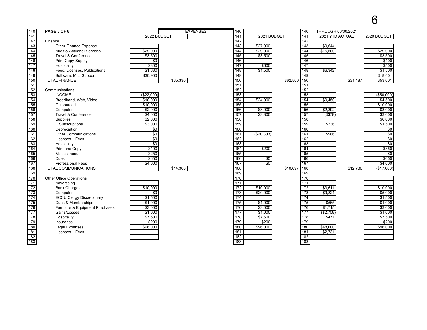## 

| 140               | PAGE 5 OF 6                           |                 |          | <b>EXPENSES</b> | 140              |                 |          | 140              |                 | THROUGH 06/30/2021 |                 |
|-------------------|---------------------------------------|-----------------|----------|-----------------|------------------|-----------------|----------|------------------|-----------------|--------------------|-----------------|
| 141               |                                       | 2022 BUDGET     |          |                 | 141              | 2021 BUDGET     |          | 141              | 2021 YTD ACTUAL |                    | 2020 BUDGET     |
| $\overline{142}$  | Finance                               |                 |          |                 | 142              |                 |          | 142              |                 |                    |                 |
| 143               | <b>Other Finance Expense</b>          |                 |          |                 | 143              | \$27,900        |          | 143              | \$9,644         |                    |                 |
| $\overline{144}$  | <b>Audit &amp; Actuarial Services</b> | \$29,000        |          |                 | 144              | \$29,000        |          | 144              | \$15,500        |                    | \$29,000        |
| 145               | Travel & Conference                   | \$3,500         |          |                 | $\frac{145}{2}$  | \$3,500         |          | $\frac{145}{2}$  |                 |                    | \$3,500         |
| $\overline{146}$  | Print-Copy-Supply                     | \$0             |          |                 | 146              |                 |          | 146              |                 |                    | \$100           |
| $\overline{147}$  | Hospitality                           | \$300           |          |                 | 147              | \$600           |          | 147              |                 |                    | \$500           |
| 148               | Fees, Licenses, Publications          | \$1,630         |          |                 | 148              | \$1,500         |          | $\overline{148}$ | \$6,342         |                    | \$1,500         |
| 149               | Software, Mtc, Support                | \$30,900        |          |                 | 149              |                 |          | 149              |                 |                    | \$18,401        |
| 150               | <b>TOTAL FINANCE</b>                  |                 | \$65,330 |                 | 150              |                 | \$62,500 | 150              |                 | \$31,487           | \$53,001        |
| $\overline{151}$  |                                       |                 |          |                 | 151              |                 |          | 151              |                 |                    |                 |
| 152               | Communications                        |                 |          |                 | 152              |                 |          | 152              |                 |                    |                 |
| 153               | <b>INCOME</b>                         | (\$22,000)      |          |                 | 153              |                 |          | 153              |                 |                    | (\$50,000)      |
| 154               | Broadband, Web, Video                 | \$10,000        |          |                 | $\overline{154}$ | \$24,000        |          | 154              | \$9,450         |                    | \$4,500         |
| 155               | Outsourced                            | \$10,000        |          |                 | 155              |                 |          | 155              |                 |                    | \$10,000        |
| $\overline{156}$  | Computer                              | \$2,000         |          |                 | 156              | \$3,000         |          | 156              | \$2,392         |                    | \$3,000         |
| 157               | Travel & Conference                   | \$4,000         |          |                 | 157              | \$3,800         |          | 157              | $($ \$378)      |                    | \$3,000         |
| 158               | Supplies                              | \$2,000         |          |                 | 158              |                 |          | 158              |                 |                    | \$6,000         |
| 159               | E Subscriptions                       | \$3.000         |          |                 | 159              |                 |          | 159              | \$336           |                    | \$1,500         |
| 160               | Depreciation                          | \$0             |          |                 | 160              |                 |          | 160              |                 |                    | \$0             |
| 161               | <b>Other Communications</b>           | $\overline{50}$ |          |                 | 161              | (\$20,303)      |          | 161              | \$986           |                    | $\overline{50}$ |
| 162               | Licenses - Fees                       | $\overline{50}$ |          |                 | 162              |                 |          | 162              |                 |                    | $\sqrt{6}$      |
| 163               | Hospitality                           | $\overline{50}$ |          |                 | 163              |                 |          | 163              |                 |                    | $\overline{30}$ |
| 164               | Print and Copy                        | \$400           |          |                 | 164              | \$200           |          | 164              |                 |                    | \$350           |
| 165               | Miscellaneous                         | \$250           |          |                 | 165              |                 |          | 165              |                 |                    | $\overline{50}$ |
| 166               | Dues                                  | \$650           |          |                 | 166              | $\overline{50}$ |          | 166              |                 |                    | \$650           |
| 167               | <b>Professional Fees</b>              | \$4,000         |          |                 | 167              | $\overline{50}$ |          | 167              |                 |                    | \$4,000         |
| 168               | TOTAL COMMUNICATIONS                  |                 | \$14,300 |                 | 168              |                 | \$10,697 | 168              |                 | \$12,786           | (\$17,000)      |
| 169               |                                       |                 |          |                 | 169              |                 |          | 169              |                 |                    |                 |
| 170               | Other Office Operations               |                 |          |                 | $\overline{170}$ |                 |          | $\frac{1}{170}$  |                 |                    |                 |
| $\overline{171}$  | Advertising                           |                 |          |                 | 171              |                 |          | 171              |                 |                    |                 |
| $\overline{172}$  | <b>Bank Charges</b>                   | \$10,000        |          |                 | $\overline{172}$ | \$10,000        |          | $\overline{172}$ | \$3,611         |                    | \$10,000        |
| 173               | Computer                              | $\overline{50}$ |          |                 | 173              | \$20,000        |          | 173              | \$9,821         |                    | \$5,000         |
| 174               | <b>ECCU Clergy Discretionary</b>      | \$1,500         |          |                 | 174              |                 |          | 174              |                 |                    | \$1,500         |
| $\overline{175}$  | Dues & Memberships                    | \$1,000         |          |                 | $\overline{175}$ | \$1,000         |          | $\overline{175}$ | \$565           |                    | \$1,000         |
| 176               | Furniture & Equipment Purchases       | \$3,000         |          |                 | 176              | \$3,000         |          | 176              | \$1.715         |                    | \$3,000         |
| $\overline{177}$  | Gains/Losses                          | \$1,000         |          |                 | 177              | \$1,000         |          | 177              | (\$2,708)       |                    | \$1,000         |
| 178               | Hospitality                           | \$7,500         |          |                 | 178              | \$7,500         |          | 178              | \$471           |                    | \$7,500         |
| $\frac{1}{179}$   | Insurance                             | \$200           |          |                 | 179              | \$200           |          | 179              |                 |                    | \$200           |
| 180               | <b>Legal Expenses</b>                 | \$96,000        |          |                 | 180              | \$96,000        |          | 180              | \$48,000        |                    | \$96,000        |
| 181               | Licenses - Fees                       |                 |          |                 | 181              |                 |          | 181              | \$2,731         |                    |                 |
| $\frac{182}{183}$ |                                       |                 |          |                 | 182              |                 |          | 182              |                 |                    |                 |
|                   |                                       |                 |          |                 | 183              |                 |          | 183              |                 |                    |                 |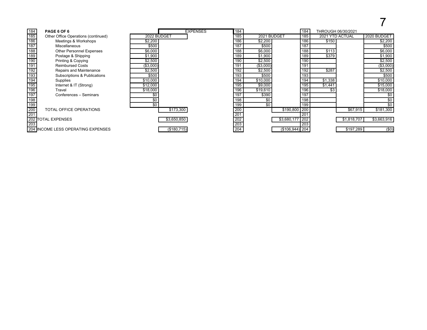# 

| 184               | PAGE 6 OF 6                         |             | <b>EXPENSES</b> | 184              |             | 184                | THROUGH 06/30/2021 |             |             |
|-------------------|-------------------------------------|-------------|-----------------|------------------|-------------|--------------------|--------------------|-------------|-------------|
| $\frac{185}{185}$ | Other Office Operations (continued) | 2022 BUDGET |                 | 185              | 2021 BUDGET | 185                | 2021 YTD ACTUAL    |             | 2020 BUDGET |
| 186               | Meetings & Workshops                | \$2,200     |                 | 186              | \$2,200     | 186                | \$150              |             | \$2,200     |
| 187               | Miscellaneous                       | \$500       |                 | 187              | \$500       | 187                |                    |             | \$500       |
| 188               | <b>Other Personnel Expenses</b>     | \$6,000     |                 | 188              | \$6,000     | 188                | \$113              |             | \$6,000     |
| 189               | Postage & Shipping                  | \$1,900     |                 | 189              | \$1,900     | 189                | \$379              |             | \$1,900     |
| $\frac{190}{191}$ | Printing & Copying                  | \$2,500     |                 | 190              | \$2,500     | 190                |                    |             | \$2,500     |
|                   | <b>Reimbursed Costs</b>             | (\$3,000)   |                 | 191              | (\$3,000)   | 191                |                    |             | (\$3,000)   |
| 192               | Repairs and Maintenance             | \$2,500     |                 | 192              | \$2,500     | 192                | \$287              |             | \$2,500     |
| 193               | Subscriptions & Publications        | \$500       |                 | 193              | \$500       | 193                |                    |             | \$500       |
| 194               | Supplies                            | \$10,000    |                 | 194              | \$10,000    | 194                | \$1,338            |             | \$10,000    |
| 195               | Internet & IT (Strong)              | \$12,000    |                 | 195              | \$9,000     | 195                | \$1,441            |             | \$15,000    |
| 196               | Travel                              | \$18,000    |                 | 196              | \$19,610    | 196                | \$3                |             | \$18,000    |
| 197               | Conferences - Seminars              |             |                 | 197              | \$390       | 197                |                    |             |             |
| 198               |                                     | \$0         |                 | 198              | \$0         | 198                |                    |             | \$0         |
| 199               |                                     | \$0         |                 | 199              | \$0         | 199                |                    |             | \$0         |
| 200               | TOTAL OFFICE OPERATIONS             | \$173,300   |                 | 200              |             | \$190,800 200      |                    | \$67,915    | \$181,300   |
| $\overline{201}$  |                                     |             |                 | 201              |             | 201                |                    |             |             |
|                   | 202 TOTAL EXPENSES                  | \$3,650,850 |                 | $\overline{202}$ |             | \$3,680,177<br>202 |                    | \$1,818,707 | \$3,663,916 |
| $\overline{203}$  |                                     |             |                 | $\overline{203}$ |             | 203                |                    |             |             |
|                   | 204 INCOME LESS OPERATING EXPENSES  | (\$180,715) |                 | 204              |             | $($106,944)$ 204   |                    | \$197,289   | (50)        |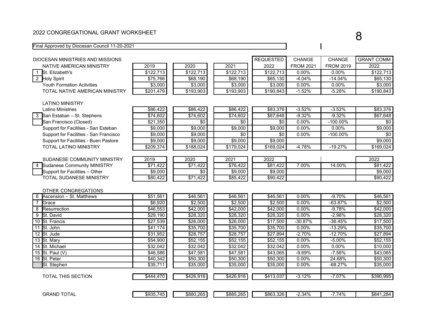#### 2022 CONGREGATIONAL GRANT WORKSHEET

#### Final Approved by Diocesan Council 11-20-2021

| DIOCESAN MINISTRIES AND MISSIONS       |                      | <b>REQUESTED</b> | CHANGE           | CHANGE            | <b>GRANT COMM</b> |                  |           |
|----------------------------------------|----------------------|------------------|------------------|-------------------|-------------------|------------------|-----------|
| NATIVE AMERICAN MINISTRY               | 2019                 | 2020             | 2021             | 2022              | <b>FROM 2021</b>  | <b>FROM 2019</b> | 2022      |
| St. Elizabeth's<br>$\mathbf{1}$        | \$122,713            | \$122,713        | \$122,713        | \$122,713         | $0.00\%$          | 0.00%            | \$122,713 |
| 2 Holy Spirit                          | \$75,766             | \$68,190         | \$68,190         | \$65,130          | $-4.04%$          | $-14.04%$        | \$65,130  |
| <b>Youth Formation Acitvities</b>      | \$3,000              | \$3,000          | \$3,000          | \$3,000           | 0.00%             | 0.00%            | \$3,000   |
| TOTAL NATIVE AMERICAN MINISTRY         | \$201,479            | \$193,903        | \$193,903        | \$190,843         | $-1.52%$          | $-5.28%$         | \$190,843 |
|                                        |                      |                  |                  |                   |                   |                  |           |
| <b>LATINO MINISTRY</b>                 |                      |                  |                  |                   |                   |                  |           |
| <b>Latino Ministries</b>               | \$86,422             | \$86,422         | \$86,422         | \$83,376          | $-3.52%$          | $-3.52%$         | \$83,376  |
| 3 San Estaban - St. Stephens           | \$74,602             | \$74,602         | \$74,602         | \$67,648          | $-9.32%$          | $-9.32%$         | \$67,648  |
| San Francisco (Closed)                 | \$21,350             | \$0              | \$0              | \$0               | 0.00%             | $-100.00\%$      | \$0       |
| Support for Facilities - San Esteban   | \$9,000              | \$9,000          | \$9,000          | \$9,000           | 0.00%             | 0.00%            | \$9,000   |
| Support for Facilities - San Francisco | \$9,000              | \$9,000          | \$0              | \$0               | $0.00\%$          | $-100.00\%$      | \$0       |
| Support for Facilities - Buen Pastore  | \$9,000              | \$9,000          | \$9,000          | \$9,000           |                   |                  | \$9,000   |
| TOTAL LATINO MINISTRY                  | \$209,374            | \$188,024        | \$179,024        | \$169,024         | $-4.78%$          | $-19.27%$        | \$169,024 |
|                                        |                      |                  |                  |                   |                   |                  |           |
| SUDANESE COMMUNITY MINISTRY            | 2019                 | 2020             | 2021             | 2022              |                   |                  | 2022      |
| 4 Sudanese Community MINISTRY          | \$71,422             | \$71,422         | \$76,422         | \$81,422          | 7.00%             | 14.00%           | \$81,422  |
| Support for Facilities - Other         | \$9,000              | \$0              | \$9,000          | \$9,000           |                   |                  | \$9,000   |
| TOTAL SUDANESE MINISTRY                | \$80,422             | \$71,422         | \$85,422         | \$90,422          |                   |                  | \$90,422  |
|                                        |                      |                  |                  |                   |                   |                  |           |
| OTHER CONGREGATIONS                    |                      |                  |                  |                   |                   |                  |           |
| 6<br>Ascension - St. Matthews          | \$51,561             | \$46,561         | \$46,561         | \$46,561          | 0.00%             | $-9.70%$         | \$46,561  |
| $\overline{7}$<br>Grace                | \$6,920              | \$2,500          | \$2,500          | \$2,500           | 0.00%             | $-63.87%$        | \$2,500   |
| 8<br>Resurrection                      | \$46,553             | \$42,000         | \$42,000         | \$42,000          | 0.00%             | $-9.78%$         | \$42,000  |
| St. David<br>9                         | \$29,190             | \$28,320         | \$28,320         | \$28,320          | 0.00%             | $-2.98%$         | \$28,320  |
| 10 St. Francis                         | \$27,539             | \$26,000         | \$26,000         | \$17,500          | $-30.87%$         | $-36.45%$        | \$17,500  |
| 11 St. John                            | \$41,174             | \$35,700         | \$35,700         | \$35,700          | $0.00\%$          | $-13.29%$        | \$35,700  |
| 12 St. Jude                            | $\overline{$}31,952$ | \$28,757         | \$28,757         | \$27,894          | $-2.70%$          | $-12.70%$        | \$27,894  |
| 13 St. Mary                            | \$54,900             | \$52,155         | \$52,155         | \$52,155          | 0.00%             | $-5.00%$         | \$52,155  |
| 14 St. Michael                         | \$32,042             | \$32,042         | \$32,042         | \$32,042          | 0.00%             | 0.00%            | \$10,000  |
| 15 St. Paul (V)                        | \$46,586             | \$47,581         | \$47,581         | \$43,065          | $-9.69%$          | $-7.56%$         | \$43,065  |
| 16 St. Peter                           | \$40,342             | \$50,300         | \$50,300         | \$50,300          | 0.00%             | 24.68%           | \$50,300  |
| St. Stephen                            | \$35,711             | \$35,000         | \$35,000         | \$35,000          | 0.00%             | $-68.27%$        | \$35,000  |
|                                        |                      |                  |                  |                   |                   |                  |           |
| TOTAL THIS SECTION                     | \$444,470            | \$426,916        | $\sqrt{426,916}$ | $\sqrt{$413,037}$ | $-3.12%$          | $-7.07%$         | \$390,995 |
|                                        |                      |                  |                  |                   |                   |                  |           |
|                                        |                      |                  |                  |                   |                   |                  |           |
| <b>GRAND TOTAL</b>                     | \$935,745            | \$880,265        | \$885,265        | \$863,326         | $-2.34%$          | $-7.74%$         | \$841,284 |

 $\overline{\phantom{a}}$